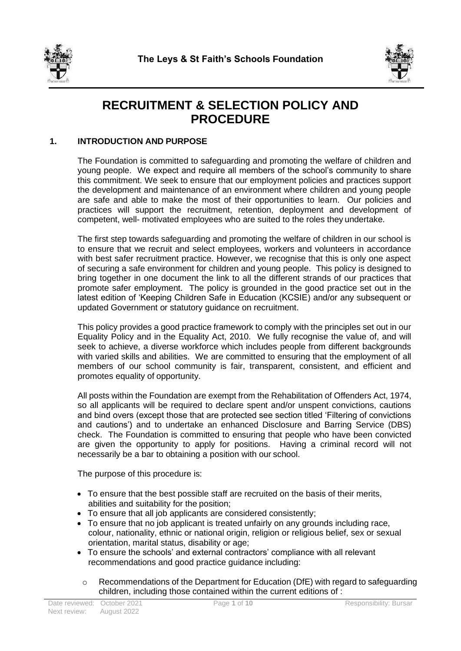



# **RECRUITMENT & SELECTION POLICY AND PROCEDURE**

# **1. INTRODUCTION AND PURPOSE**

The Foundation is committed to safeguarding and promoting the welfare of children and young people. We expect and require all members of the school's community to share this commitment. We seek to ensure that our employment policies and practices support the development and maintenance of an environment where children and young people are safe and able to make the most of their opportunities to learn. Our policies and practices will support the recruitment, retention, deployment and development of competent, well- motivated employees who are suited to the roles they undertake.

The first step towards safeguarding and promoting the welfare of children in our school is to ensure that we recruit and select employees, workers and volunteers in accordance with best safer recruitment practice. However, we recognise that this is only one aspect of securing a safe environment for children and young people. This policy is designed to bring together in one document the link to all the different strands of our practices that promote safer employment. The policy is grounded in the good practice set out in the latest edition of 'Keeping Children Safe in Education (KCSIE) and/or any subsequent or updated Government or statutory guidance on recruitment.

This policy provides a good practice framework to comply with the principles set out in our Equality Policy and in the Equality Act, 2010. We fully recognise the value of, and will seek to achieve, a diverse workforce which includes people from different backgrounds with varied skills and abilities. We are committed to ensuring that the employment of all members of our school community is fair, transparent, consistent, and efficient and promotes equality of opportunity.

All posts within the Foundation are exempt from the Rehabilitation of Offenders Act, 1974, so all applicants will be required to declare spent and/or unspent convictions, cautions and bind overs (except those that are protected see section titled 'Filtering of convictions and cautions') and to undertake an enhanced Disclosure and Barring Service (DBS) check. The Foundation is committed to ensuring that people who have been convicted are given the opportunity to apply for positions. Having a criminal record will not necessarily be a bar to obtaining a position with our school.

The purpose of this procedure is:

- To ensure that the best possible staff are recruited on the basis of their merits, abilities and suitability for the position;
- To ensure that all job applicants are considered consistently;
- To ensure that no job applicant is treated unfairly on any grounds including race, colour, nationality, ethnic or national origin, religion or religious belief, sex or sexual orientation, marital status, disability or age;
- To ensure the schools' and external contractors' compliance with all relevant recommendations and good practice guidance including:
	- $\circ$  Recommendations of the Department for Education (DfE) with regard to safeguarding children, including those contained within the current editions of :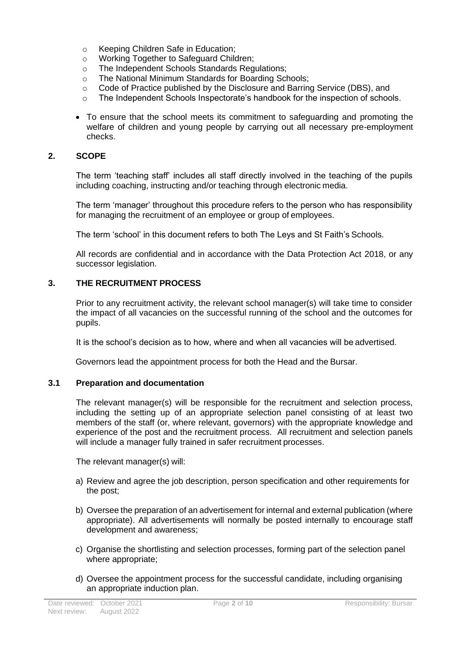- o Keeping Children Safe in Education;
- o Working Together to Safeguard Children;
- o The Independent Schools Standards Regulations;
- o The National Minimum Standards for Boarding Schools;
- $\circ$  Code of Practice published by the Disclosure and Barring Service (DBS), and
- $\circ$  The Independent Schools Inspectorate's handbook for the inspection of schools.
- To ensure that the school meets its commitment to safeguarding and promoting the welfare of children and young people by carrying out all necessary pre-employment checks.

# **2. SCOPE**

The term 'teaching staff' includes all staff directly involved in the teaching of the pupils including coaching, instructing and/or teaching through electronic media.

The term 'manager' throughout this procedure refers to the person who has responsibility for managing the recruitment of an employee or group of employees.

The term 'school' in this document refers to both The Leys and St Faith's Schools.

All records are confidential and in accordance with the Data Protection Act 2018, or any successor legislation.

# **3. THE RECRUITMENT PROCESS**

Prior to any recruitment activity, the relevant school manager(s) will take time to consider the impact of all vacancies on the successful running of the school and the outcomes for pupils.

It is the school's decision as to how, where and when all vacancies will be advertised.

Governors lead the appointment process for both the Head and the Bursar.

#### **3.1 Preparation and documentation**

The relevant manager(s) will be responsible for the recruitment and selection process, including the setting up of an appropriate selection panel consisting of at least two members of the staff (or, where relevant, governors) with the appropriate knowledge and experience of the post and the recruitment process. All recruitment and selection panels will include a manager fully trained in safer recruitment processes.

The relevant manager(s) will:

- a) Review and agree the job description, person specification and other requirements for the post;
- b) Oversee the preparation of an advertisement for internal and external publication (where appropriate). All advertisements will normally be posted internally to encourage staff development and awareness;
- c) Organise the shortlisting and selection processes, forming part of the selection panel where appropriate;
- d) Oversee the appointment process for the successful candidate, including organising an appropriate induction plan.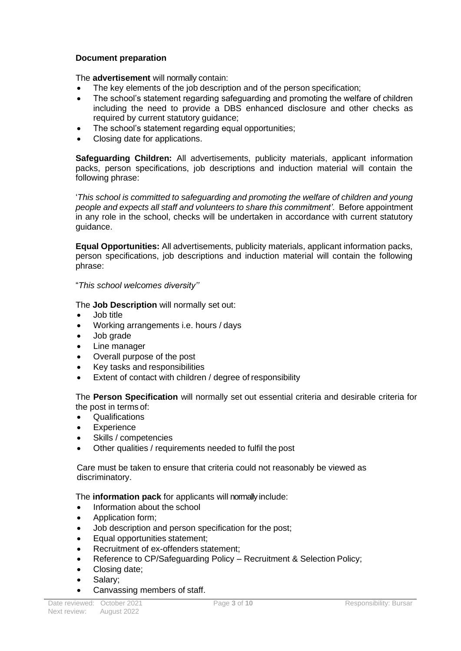# **Document preparation**

The **advertisement** will normally contain:

- The key elements of the job description and of the person specification;
- The school's statement regarding safeguarding and promoting the welfare of children including the need to provide a DBS enhanced disclosure and other checks as required by current statutory guidance;
- The school's statement regarding equal opportunities;
- Closing date for applications.

**Safeguarding Children:** All advertisements, publicity materials, applicant information packs, person specifications, job descriptions and induction material will contain the following phrase:

'*This school is committed to safeguarding and promoting the welfare of children and young people and expects all staff and volunteers to share this commitment'.* Before appointment in any role in the school, checks will be undertaken in accordance with current statutory guidance.

**Equal Opportunities:** All advertisements, publicity materials, applicant information packs, person specifications, job descriptions and induction material will contain the following phrase:

# "*This school welcomes diversity''*

The **Job Description** will normally set out:

- Job title
- Working arrangements i.e. hours / days
- Job grade
- Line manager
- Overall purpose of the post
- Key tasks and responsibilities
- Extent of contact with children / degree of responsibility

The **Person Specification** will normally set out essential criteria and desirable criteria for the post in terms of:

- Qualifications
- **Experience**
- Skills / competencies
- Other qualities / requirements needed to fulfil the post

Care must be taken to ensure that criteria could not reasonably be viewed as discriminatory.

The **information pack** for applicants will normally include:

- Information about the school
- Application form;
- Job description and person specification for the post;
- Equal opportunities statement;
- Recruitment of ex-offenders statement;
- Reference to CP/Safeguarding Policy Recruitment & Selection Policy;
- Closing date;
- Salary;
- Canvassing members of staff.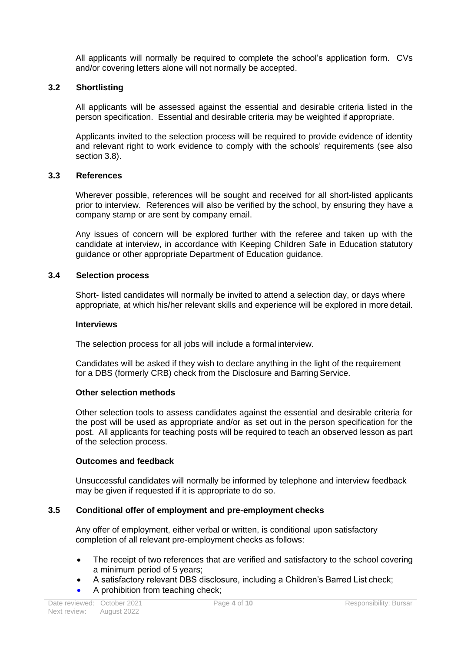All applicants will normally be required to complete the school's application form. CVs and/or covering letters alone will not normally be accepted.

# **3.2 Shortlisting**

All applicants will be assessed against the essential and desirable criteria listed in the person specification. Essential and desirable criteria may be weighted if appropriate.

Applicants invited to the selection process will be required to provide evidence of identity and relevant right to work evidence to comply with the schools' requirements (see also section 3.8).

#### **3.3 References**

Wherever possible, references will be sought and received for all short-listed applicants prior to interview. References will also be verified by the school, by ensuring they have a company stamp or are sent by company email.

Any issues of concern will be explored further with the referee and taken up with the candidate at interview, in accordance with Keeping Children Safe in Education statutory guidance or other appropriate Department of Education guidance.

#### **3.4 Selection process**

Short- listed candidates will normally be invited to attend a selection day, or days where appropriate, at which his/her relevant skills and experience will be explored in more detail.

#### **Interviews**

The selection process for all jobs will include a formal interview.

Candidates will be asked if they wish to declare anything in the light of the requirement for a DBS (formerly CRB) check from the Disclosure and Barring Service.

#### **Other selection methods**

Other selection tools to assess candidates against the essential and desirable criteria for the post will be used as appropriate and/or as set out in the person specification for the post. All applicants for teaching posts will be required to teach an observed lesson as part of the selection process.

#### **Outcomes and feedback**

Unsuccessful candidates will normally be informed by telephone and interview feedback may be given if requested if it is appropriate to do so.

#### **3.5 Conditional offer of employment and pre-employment checks**

Any offer of employment, either verbal or written, is conditional upon satisfactory completion of all relevant pre-employment checks as follows:

- The receipt of two references that are verified and satisfactory to the school covering a minimum period of 5 years;
- A satisfactory relevant DBS disclosure, including a Children's Barred List check;
- A prohibition from teaching check;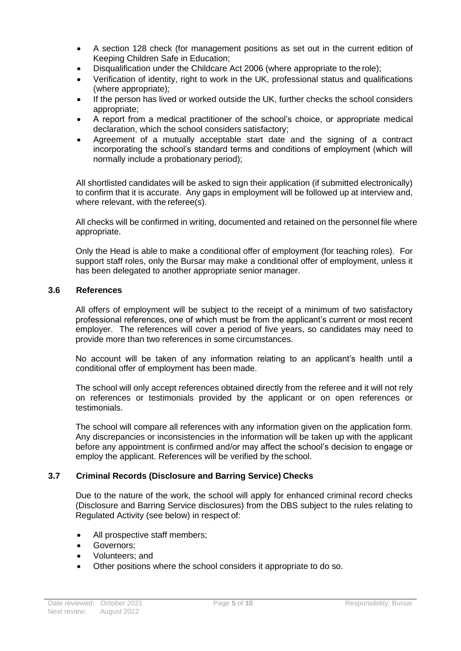- A section 128 check (for management positions as set out in the current edition of Keeping Children Safe in Education;
- Disqualification under the Childcare Act 2006 (where appropriate to the role);
- Verification of identity, right to work in the UK, professional status and qualifications (where appropriate);
- If the person has lived or worked outside the UK, further checks the school considers appropriate;
- A report from a medical practitioner of the school's choice, or appropriate medical declaration, which the school considers satisfactory;
- Agreement of a mutually acceptable start date and the signing of a contract incorporating the school's standard terms and conditions of employment (which will normally include a probationary period);

All shortlisted candidates will be asked to sign their application (if submitted electronically) to confirm that it is accurate. Any gaps in employment will be followed up at interview and, where relevant, with the referee(s).

All checks will be confirmed in writing, documented and retained on the personnel file where appropriate.

Only the Head is able to make a conditional offer of employment (for teaching roles). For support staff roles, only the Bursar may make a conditional offer of employment, unless it has been delegated to another appropriate senior manager.

# **3.6 References**

All offers of employment will be subject to the receipt of a minimum of two satisfactory professional references, one of which must be from the applicant's current or most recent employer. The references will cover a period of five years, so candidates may need to provide more than two references in some circumstances.

No account will be taken of any information relating to an applicant's health until a conditional offer of employment has been made.

The school will only accept references obtained directly from the referee and it will not rely on references or testimonials provided by the applicant or on open references or testimonials.

The school will compare all references with any information given on the application form. Any discrepancies or inconsistencies in the information will be taken up with the applicant before any appointment is confirmed and/or may affect the school's decision to engage or employ the applicant. References will be verified by the school.

#### **3.7 Criminal Records (Disclosure and Barring Service) Checks**

Due to the nature of the work, the school will apply for enhanced criminal record checks (Disclosure and Barring Service disclosures) from the DBS subject to the rules relating to Regulated Activity (see below) in respect of:

- All prospective staff members;
- Governors:
- Volunteers; and
- Other positions where the school considers it appropriate to do so.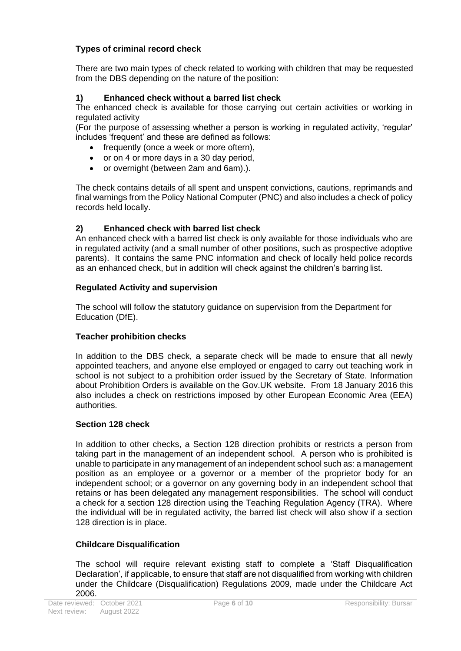# **Types of criminal record check**

There are two main types of check related to working with children that may be requested from the DBS depending on the nature of the position:

# **1) Enhanced check without a barred list check**

The enhanced check is available for those carrying out certain activities or working in regulated activity

(For the purpose of assessing whether a person is working in regulated activity, 'regular' includes 'frequent' and these are defined as follows:

- frequently (once a week or more oftern),
- or on 4 or more days in a 30 day period,
- or overnight (between 2am and 6am).).

The check contains details of all spent and unspent convictions, cautions, reprimands and final warnings from the Policy National Computer (PNC) and also includes a check of policy records held locally.

# **2) Enhanced check with barred list check**

An enhanced check with a barred list check is only available for those individuals who are in regulated activity (and a small number of other positions, such as prospective adoptive parents). It contains the same PNC information and check of locally held police records as an enhanced check, but in addition will check against the children's barring list.

# **Regulated Activity and supervision**

The school will follow the statutory guidance on supervision from the Department for Education (DfE).

#### **Teacher prohibition checks**

In addition to the DBS check, a separate check will be made to ensure that all newly appointed teachers, and anyone else employed or engaged to carry out teaching work in school is not subject to a prohibition order issued by the Secretary of State. Information about Prohibition Orders is available on the Gov.UK website. From 18 January 2016 this also includes a check on restrictions imposed by other European Economic Area (EEA) authorities.

#### **Section 128 check**

In addition to other checks, a Section 128 direction prohibits or restricts a person from taking part in the management of an independent school. A person who is prohibited is unable to participate in any management of an independent school such as: a management position as an employee or a governor or a member of the proprietor body for an independent school; or a governor on any governing body in an independent school that retains or has been delegated any management responsibilities. The school will conduct a check for a section 128 direction using the Teaching Regulation Agency (TRA). Where the individual will be in regulated activity, the barred list check will also show if a section 128 direction is in place.

#### **Childcare Disqualification**

The school will require relevant existing staff to complete a 'Staff Disqualification Declaration', if applicable, to ensure that staff are not disqualified from working with children under the Childcare (Disqualification) Regulations 2009, made under the Childcare Act 2006.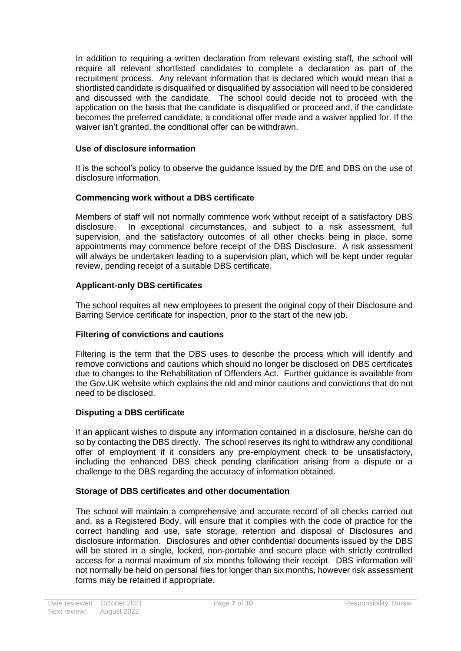In addition to requiring a written declaration from relevant existing staff, the school will require all relevant shortlisted candidates to complete a declaration as part of the recruitment process. Any relevant information that is declared which would mean that a shortlisted candidate is disqualified or disqualified by association will need to be considered and discussed with the candidate. The school could decide not to proceed with the application on the basis that the candidate is disqualified or proceed and, if the candidate becomes the preferred candidate, a conditional offer made and a waiver applied for. If the waiver isn't granted, the conditional offer can be withdrawn.

# **Use of disclosure information**

It is the school's policy to observe the guidance issued by the DfE and DBS on the use of disclosure information.

# **Commencing work without a DBS certificate**

Members of staff will not normally commence work without receipt of a satisfactory DBS disclosure. In exceptional circumstances, and subject to a risk assessment, full supervision, and the satisfactory outcomes of all other checks being in place, some appointments may commence before receipt of the DBS Disclosure. A risk assessment will always be undertaken leading to a supervision plan, which will be kept under regular review, pending receipt of a suitable DBS certificate.

# **Applicant-only DBS certificates**

The school requires all new employees to present the original copy of their Disclosure and Barring Service certificate for inspection, prior to the start of the new job.

#### **Filtering of convictions and cautions**

Filtering is the term that the DBS uses to describe the process which will identify and remove convictions and cautions which should no longer be disclosed on DBS certificates due to changes to the Rehabilitation of Offenders Act. Further guidance is available from the Gov.UK website which explains the old and minor cautions and convictions that do not need to be disclosed.

#### **Disputing a DBS certificate**

If an applicant wishes to dispute any information contained in a disclosure, he/she can do so by contacting the DBS directly. The school reserves its right to withdraw any conditional offer of employment if it considers any pre-employment check to be unsatisfactory, including the enhanced DBS check pending clarification arising from a dispute or a challenge to the DBS regarding the accuracy of information obtained.

#### **Storage of DBS certificates and other documentation**

The school will maintain a comprehensive and accurate record of all checks carried out and, as a Registered Body, will ensure that it complies with the code of practice for the correct handling and use, safe storage, retention and disposal of Disclosures and disclosure information. Disclosures and other confidential documents issued by the DBS will be stored in a single, locked, non-portable and secure place with strictly controlled access for a normal maximum of six months following their receipt. DBS information will not normally be held on personal files for longer than six months, however risk assessment forms may be retained if appropriate.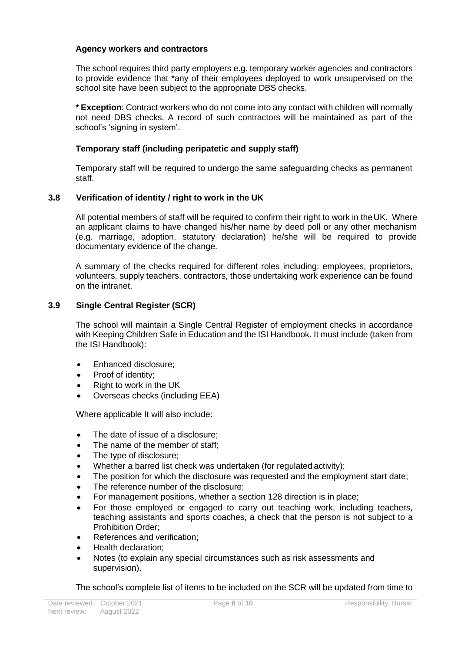#### **Agency workers and contractors**

The school requires third party employers e.g. temporary worker agencies and contractors to provide evidence that \*any of their employees deployed to work unsupervised on the school site have been subject to the appropriate DBS checks.

**\* Exception**: Contract workers who do not come into any contact with children will normally not need DBS checks. A record of such contractors will be maintained as part of the school's 'signing in system'.

# **Temporary staff (including peripatetic and supply staff)**

Temporary staff will be required to undergo the same safeguarding checks as permanent staff.

# **3.8 Verification of identity / right to work in the UK**

All potential members of staff will be required to confirm their right to work in theUK. Where an applicant claims to have changed his/her name by deed poll or any other mechanism (e.g. marriage, adoption, statutory declaration) he/she will be required to provide documentary evidence of the change.

A summary of the checks required for different roles including: employees, proprietors, volunteers, supply teachers, contractors, those undertaking work experience can be found on the intranet.

# **3.9 Single Central Register (SCR)**

The school will maintain a Single Central Register of employment checks in accordance with Keeping Children Safe in Education and the ISI Handbook. It must include (taken from the ISI Handbook):

- Enhanced disclosure;
- Proof of identity;
- Right to work in the UK
- Overseas checks (including EEA)

Where applicable It will also include:

- The date of issue of a disclosure;
- The name of the member of staff:
- The type of disclosure;
- Whether a barred list check was undertaken (for regulated activity);
- The position for which the disclosure was requested and the employment start date;
- The reference number of the disclosure;
- For management positions, whether a section 128 direction is in place;
- For those employed or engaged to carry out teaching work, including teachers, teaching assistants and sports coaches, a check that the person is not subject to a Prohibition Order;
- References and verification;
- Health declaration;
- Notes (to explain any special circumstances such as risk assessments and supervision).

The school's complete list of items to be included on the SCR will be updated from time to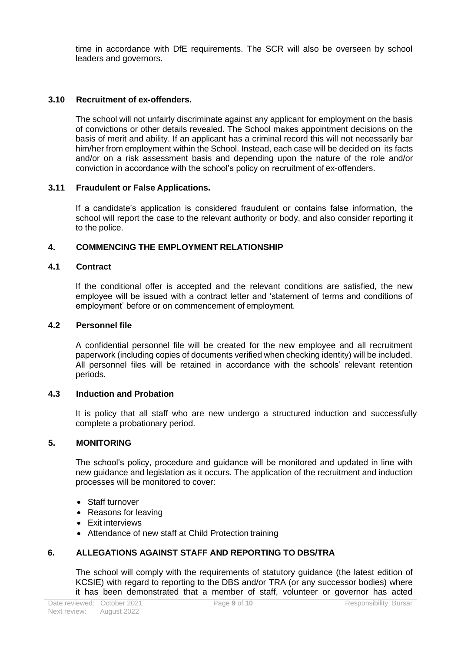time in accordance with DfE requirements. The SCR will also be overseen by school leaders and governors.

# **3.10 Recruitment of ex-offenders.**

The school will not unfairly discriminate against any applicant for employment on the basis of convictions or other details revealed. The School makes appointment decisions on the basis of merit and ability. If an applicant has a criminal record this will not necessarily bar him/her from employment within the School. Instead, each case will be decided on its facts and/or on a risk assessment basis and depending upon the nature of the role and/or conviction in accordance with the school's policy on recruitment of ex-offenders.

# **3.11 Fraudulent or False Applications.**

If a candidate's application is considered fraudulent or contains false information, the school will report the case to the relevant authority or body, and also consider reporting it to the police.

# **4. COMMENCING THE EMPLOYMENT RELATIONSHIP**

#### **4.1 Contract**

If the conditional offer is accepted and the relevant conditions are satisfied, the new employee will be issued with a contract letter and 'statement of terms and conditions of employment' before or on commencement of employment.

#### **4.2 Personnel file**

A confidential personnel file will be created for the new employee and all recruitment paperwork (including copies of documents verified when checking identity) will be included. All personnel files will be retained in accordance with the schools' relevant retention periods.

#### **4.3 Induction and Probation**

It is policy that all staff who are new undergo a structured induction and successfully complete a probationary period.

#### **5. MONITORING**

The school's policy, procedure and guidance will be monitored and updated in line with new guidance and legislation as it occurs. The application of the recruitment and induction processes will be monitored to cover:

- Staff turnover
- Reasons for leaving
- Exit interviews
- Attendance of new staff at Child Protection training

#### **6. ALLEGATIONS AGAINST STAFF AND REPORTING TO DBS/TRA**

The school will comply with the requirements of statutory guidance (the latest edition of KCSIE) with regard to reporting to the DBS and/or TRA (or any successor bodies) where it has been demonstrated that a member of staff, volunteer or governor has acted